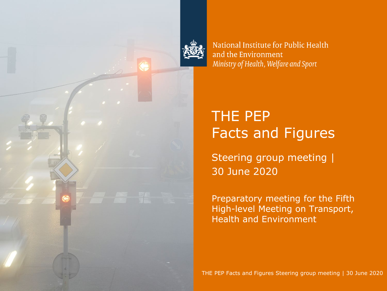

National Institute for Public Health and the Environment Ministry of Health, Welfare and Sport

# THE PEP Facts and Figures

Steering group meeting | 30 June 2020

Preparatory meeting for the Fifth High-level Meeting on Transport, Health and Environment

THE PEP Facts and Figures Steering group meeting | 30 June 2020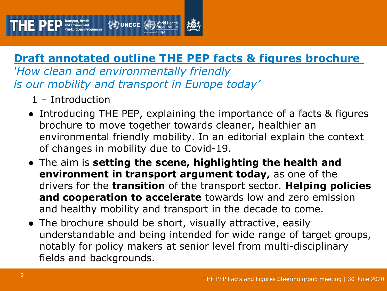

*'How clean and environmentally friendly is our mobility and transport in Europe today'*

- 1 Introduction
- Introducing THE PEP, explaining the importance of a facts & figures brochure to move together towards cleaner, healthier an environmental friendly mobility. In an editorial explain the context of changes in mobility due to Covid-19.
- The aim is **setting the scene, highlighting the health and environment in transport argument today,** as one of the drivers for the **transition** of the transport sector. **Helping policies and cooperation to accelerate** towards low and zero emission and healthy mobility and transport in the decade to come.
- The brochure should be short, visually attractive, easily understandable and being intended for wide range of target groups, notably for policy makers at senior level from multi-disciplinary fields and backgrounds.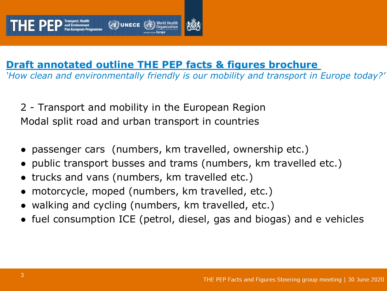

*'How clean and environmentally friendly is our mobility and transport in Europe today?'*

2 - Transport and mobility in the European Region Modal split road and urban transport in countries

- passenger cars (numbers, km travelled, ownership etc.)
- public transport busses and trams (numbers, km travelled etc.)
- trucks and vans (numbers, km travelled etc.)
- motorcycle, moped (numbers, km travelled, etc.)
- walking and cycling (numbers, km travelled, etc.)
- fuel consumption ICE (petrol, diesel, gas and biogas) and e vehicles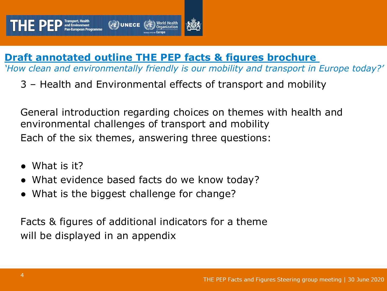

*'How clean and environmentally friendly is our mobility and transport in Europe today?'*

3 – Health and Environmental effects of transport and mobility

General introduction regarding choices on themes with health and environmental challenges of transport and mobility Each of the six themes, answering three questions:

- What is it?
- What evidence based facts do we know today?
- What is the biggest challenge for change?

Facts & figures of additional indicators for a theme will be displayed in an appendix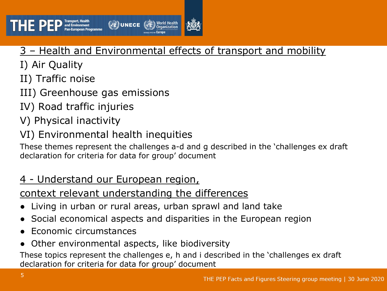

#### 3 – Health and Environmental effects of transport and mobility

- I) Air Quality
- II) Traffic noise
- III) Greenhouse gas emissions
- IV) Road traffic injuries
- V) Physical inactivity
- VI) Environmental health inequities

These themes represent the challenges a-d and g described in the 'challenges ex draft declaration for criteria for data for group' document

#### 4 - Understand our European region,

#### context relevant understanding the differences

- Living in urban or rural areas, urban sprawl and land take
- Social economical aspects and disparities in the European region
- **Economic circumstances**
- Other environmental aspects, like biodiversity

These topics represent the challenges e, h and i described in the 'challenges ex draft declaration for criteria for data for group' document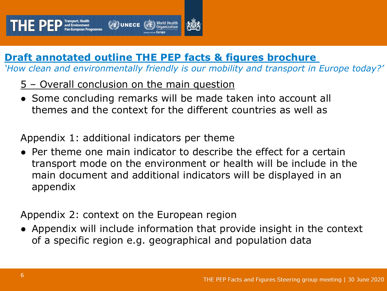*'How clean and environmentally friendly is our mobility and transport in Europe today?'*

- 5 Overall conclusion on the main question
- Some concluding remarks will be made taken into account all themes and the context for the different countries as well as

Appendix 1: additional indicators per theme

 $\bullet$  Per theme one main indicator to describe the effect for a certain transport mode on the environment or health will be include in the main document and additional indicators will be displayed in an appendix

Appendix 2: context on the European region

● Appendix will include information that provide insight in the context of a specific region e.g. geographical and population data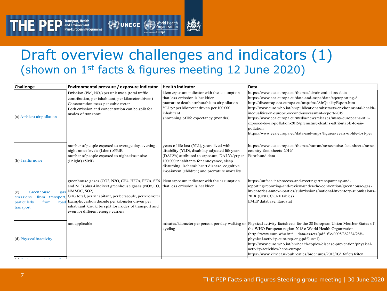# Draft overview challenges and indicators (1) (shown on 1st facts & figures meeting 12 June 2020)

**DUNECE** *Supersition* 

| Challenge                                                                              | Environmental pressure / exposure indicator                                                                                                                                                                                                                                                                                                                                                                              | <b>Health indicator</b>                                                                                                                                                                                                                                                                      | Data                                                                                                                                                                                                                                                                                                                                                                                                                                                                                                                                                         |
|----------------------------------------------------------------------------------------|--------------------------------------------------------------------------------------------------------------------------------------------------------------------------------------------------------------------------------------------------------------------------------------------------------------------------------------------------------------------------------------------------------------------------|----------------------------------------------------------------------------------------------------------------------------------------------------------------------------------------------------------------------------------------------------------------------------------------------|--------------------------------------------------------------------------------------------------------------------------------------------------------------------------------------------------------------------------------------------------------------------------------------------------------------------------------------------------------------------------------------------------------------------------------------------------------------------------------------------------------------------------------------------------------------|
| (a) Ambient air pollution                                                              | Emission $(PM, NO2)$ per unit mass (total traffic<br>contribution, per inhabitant, per kilometer driven)<br>Concentration mass per cubic meter<br>Both emission and concentration can be split for<br>modes of transport                                                                                                                                                                                                 | idem exposure indicator with the assumption<br>that less emission is healthier<br>pramature death attributable to air pollution<br>YLL/yr per kilometer driven per 100.000<br>inhabitant<br>shortening of life expectancy (months)                                                           | https://www.eea.europa.eu/themes/air/air-emissions-data<br>https://www.eea.europa.eu/data-and-maps/data/aqereporting-8<br>http://discomap.eea.europa.eu/map/fme/AirQualityExport.htm<br>http://www.euro.who.int/en/publications/abstracts/environmental-health-<br>inequalities-in-europe.-second-assessment-report-2019<br>https://www.eea.europa.eu/media/newsreleases/many-europeans-still-<br>exposed-to-air-pollution-2015/premature-deaths-attributable-to-air-<br>pollution<br>https://www.eea.europa.eu/data-and-maps/figures/years-of-life-lost-per |
| (b) Traffic noise                                                                      | number of people exposed to average day-evening-<br>night noise levels (Lden) ≥55dB<br>number of people exposed to night-time noise<br>$(Lnight) \geq 50dB$                                                                                                                                                                                                                                                              | years of life lost (YLL), years lived with<br>disability (YLD), disability adjusted life years<br>(DALYs) attributed to exposure, DALYs/yr per<br>100.000 inhabitants for annoyance, sleep<br>disturbing, ischemic heart disease, cognitive<br>impairment (children) and premature mortality | https://www.eea.europa.eu/themes/human/noise/noise-fact-sheets/noise-<br>country-fact-sheets-2019/<br>Eurofound data                                                                                                                                                                                                                                                                                                                                                                                                                                         |
| Greenhouse<br>(c)<br>from transport.<br>emissions<br>particularly<br>from<br>transport | greenhouse gases (CO2, N2O, CH4, HFCs, PFCs, SF6 dem exposure indicator with the assumption<br>and NF3) plus 4 indirect greenhouse gases (NOx, CO, that less emission is healthier<br>gas NMVOC, SO2)<br>GHG total, per inhabitant, per betaJoule, per kilometer<br>road Example: carbon dioxide per kilometer driven per<br>inhabitant. Could be split for modes of transport and<br>even for different energy carriers |                                                                                                                                                                                                                                                                                              | https://unfccc.int/process-and-meetings/transparency-and-<br>reporting/reporting-and-review-under-the-convention/greenhouse-gas-<br>inventories-annex-i-parties/submissions/national-inventory-submissions-<br>2018 (UNFCC CRF tables)<br>EMEP database, Eurostat                                                                                                                                                                                                                                                                                            |
| (d) Physical inactivity<br>73. A. S.<br>$\sim$ $\sim$                                  | not applicable                                                                                                                                                                                                                                                                                                                                                                                                           | cycling                                                                                                                                                                                                                                                                                      | minutes/kilometer per person per day walking or Physical activity factsheets for the 28 European Union Member States of<br>the WHO European region 2018 c World Health Organization<br>(http://www.euro.who.int/ data/assets/pdf file/0005/382334/28fs-<br>physical-activity-euro-rep-eng.pdf?ua=1)<br>http://www.euro.who.int/en/health-topics/disease-prevention/physical-<br>activity/activities/hepa-europe<br>https://www.kimnet.nl/publicaties/brochures/2018/03/16/fietsfeiten                                                                        |

 $\prod \prod \prod \limits_{P} \prod \limits_{P} \prod \limits_{P}^{\text{Transport, Health}}_{\text{Part European Program}}$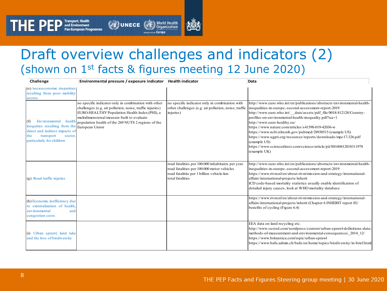#### Draft overview challenges and indicators (2) (shown on 1st facts & figures meeting 12 June 2020) i

l

**All UNECE All World Health** 

l

l Ī

| Challenge                                                                                                                                                          | Environmental pressure / exposure indicator                                                                                                                                                                                                                                  | <b>Health indicator</b>                                                                                                                                        | Data                                                                                                                                                                                                                                                                                                                                                                                                                                                                                                                                                                                       |
|--------------------------------------------------------------------------------------------------------------------------------------------------------------------|------------------------------------------------------------------------------------------------------------------------------------------------------------------------------------------------------------------------------------------------------------------------------|----------------------------------------------------------------------------------------------------------------------------------------------------------------|--------------------------------------------------------------------------------------------------------------------------------------------------------------------------------------------------------------------------------------------------------------------------------------------------------------------------------------------------------------------------------------------------------------------------------------------------------------------------------------------------------------------------------------------------------------------------------------------|
| (e) Socioeconomic disparities<br>resulting from poor mobility<br>access                                                                                            |                                                                                                                                                                                                                                                                              |                                                                                                                                                                |                                                                                                                                                                                                                                                                                                                                                                                                                                                                                                                                                                                            |
| Environmental<br>(f)<br>inequities resulting from the European Union<br>direct and indirect impacts of<br>transport<br>the<br>sector.<br>particularly for children | no specific indicator only in combination with other<br>challenges (e.g. air pollution, noise, traffic injuries)<br>EURO-HEALTHY Population Health Index (PHI), a<br>multidimensional measure built to evaluate<br>health population health of the 269 NUTS 2 regions of the | no specific indicator only in combination with<br>other challenges (e.g. air pollution, noise, traffic<br>injuries)                                            | http://www.euro.who.int/en/publications/abstracts/environmental-health-<br>inequalities-in-europe.-second-assessment-report-2019<br>http://www.euro.who.int/ data/assets/pdf file/0018/412128/Country-<br>profiles-on-environmental-health-inequality.pdf?ua=1<br>http://www.euro-healthy.eu/<br>https://www.nature.com/articles/s41598-019-42036-w<br>https://www.ncbi.nlm.nih.gov/pubmed/28930515 (example US)<br>https://www.ugpti.org/resources/reports/downloads/mpc17-326.pdf<br>(example US)<br>https://www.sciencedirect.com/science/article/pii/S0160412018311978<br>(example UK) |
| (g) Road traffic injuries                                                                                                                                          |                                                                                                                                                                                                                                                                              | road fatalities per 100.000 inhabitants per year<br>road fatalities per 100.000 motor vehicles<br>road fatalitite per 1 billion vehicle-km<br>total fatalities | http://www.euro.who.int/en/publications/abstracts/environmental-health-<br>inequalities-in-europe.-second-assessment-report-2019<br>https://www.rivm.nl/en/about-rivm/mission-and-strategy/international-<br>affairs/international-projects/inherit<br>ICD code-based mortality statistics usually enable identification of<br>detailed injury causes, look at WHO mortality database                                                                                                                                                                                                      |
| (h) Economic inefficiency due<br>to externalization of health.<br>environmental<br>and<br>congestion costs                                                         |                                                                                                                                                                                                                                                                              |                                                                                                                                                                | https://www.rivm.nl/en/about-rivm/mission-and-strategy/international-<br>affairs/international-projects/inherit (Chapter 6 INHERIT report EU<br>benefits of cycling (Figure 6.4)                                                                                                                                                                                                                                                                                                                                                                                                           |
| (i) Urban sprawl, land take<br>and the loss of biodiversity                                                                                                        |                                                                                                                                                                                                                                                                              |                                                                                                                                                                | EEA data on land recycling etc.<br>http://www.susted.com/wordpress/content/urban-sprawl-definitions-data-<br>methods-of-measurement-and-environmental-consequences 2014 12/<br>https://www.britannica.com/topic/urban-sprawl<br>https://www.bafu.admin.ch/bafu/en/home/topics/biodiversity/in-brief.html                                                                                                                                                                                                                                                                                   |